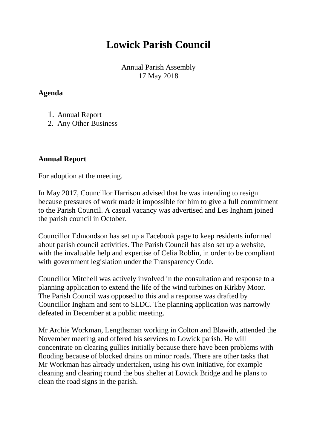## **Lowick Parish Council**

Annual Parish Assembly 17 May 2018

## **Agenda**

- 1. Annual Report
- 2. Any Other Business

## **Annual Report**

For adoption at the meeting.

In May 2017, Councillor Harrison advised that he was intending to resign because pressures of work made it impossible for him to give a full commitment to the Parish Council. A casual vacancy was advertised and Les Ingham joined the parish council in October.

Councillor Edmondson has set up a Facebook page to keep residents informed about parish council activities. The Parish Council has also set up a website, with the invaluable help and expertise of Celia Roblin, in order to be compliant with government legislation under the Transparency Code.

Councillor Mitchell was actively involved in the consultation and response to a planning application to extend the life of the wind turbines on Kirkby Moor. The Parish Council was opposed to this and a response was drafted by Councillor Ingham and sent to SLDC. The planning application was narrowly defeated in December at a public meeting.

Mr Archie Workman, Lengthsman working in Colton and Blawith, attended the November meeting and offered his services to Lowick parish. He will concentrate on clearing gullies initially because there have been problems with flooding because of blocked drains on minor roads. There are other tasks that Mr Workman has already undertaken, using his own initiative, for example cleaning and clearing round the bus shelter at Lowick Bridge and he plans to clean the road signs in the parish.